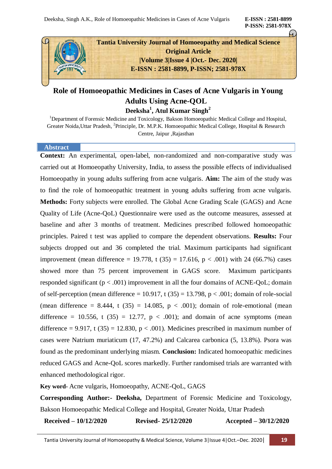**P-ISSN: 2581-978X**



# **Role of Homoeopathic Medicines in Cases of Acne Vulgaris in Young Adults Using Acne-QOL**

**Deeksha<sup>1</sup> , Atul Kumar Singh<sup>2</sup>**

<sup>1</sup>Department of Forensic Medicine and Toxicology, Bakson Homoeopathic Medical College and Hospital, Greater Noida, Uttar Pradesh, <sup>2</sup>Principle, Dr. M.P.K. Homoeopathic Medical College, Hospital & Research Centre, Jaipur ,Rajasthan

#### **Abstract**

**Context:** An experimental, open-label, non-randomized and non-comparative study was carried out at Homoeopathy University, India, to assess the possible effects of individualised Homoeopathy in young adults suffering from acne vulgaris. **Aim:** The aim of the study was to find the role of homoeopathic treatment in young adults suffering from acne vulgaris. **Methods:** Forty subjects were enrolled. The Global Acne Grading Scale (GAGS) and Acne Quality of Life (Acne-QoL) Questionnaire were used as the outcome measures, assessed at baseline and after 3 months of treatment. Medicines prescribed followed homoeopathic principles. Paired t test was applied to compare the dependent observations. **Results:** Four subjects dropped out and 36 completed the trial. Maximum participants had significant improvement (mean difference = 19.778, t  $(35) = 17.616$ , p < .001) with 24 (66.7%) cases showed more than 75 percent improvement in GAGS score. Maximum participants responded significant  $(p < .001)$  improvement in all the four domains of ACNE-QoL; domain of self-perception (mean difference = 10.917, t  $(35) = 13.798$ , p < .001; domain of role-social (mean difference =  $8.444$ , t (35) = 14.085, p < .001); domain of role-emotional (mean difference = 10.556, t (35) = 12.77,  $p < .001$ ); and domain of acne symptoms (mean difference = 9.917, t (35) = 12.830,  $p < .001$ ). Medicines prescribed in maximum number of cases were Natrium muriaticum (17, 47.2%) and Calcarea carbonica (5, 13.8%). Psora was found as the predominant underlying miasm. **Conclusion:** Indicated homoeopathic medicines reduced GAGS and Acne-QoL scores markedly. Further randomised trials are warranted with enhanced methodological rigor.

**Key word-** Acne vulgaris, Homoeopathy, ACNE-QoL, GAGS

**Corresponding Author:- Deeksha,** Department of Forensic Medicine and Toxicology, Bakson Homoeopathic Medical College and Hospital, Greater Noida, Uttar Pradesh

**Received – 10/12/2020 Revised- 25/12/2020 Accepted – 30/12/2020**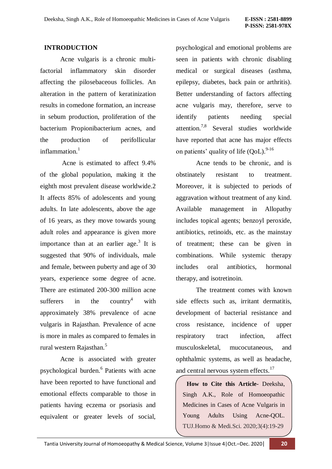## **INTRODUCTION**

Acne vulgaris is a chronic multifactorial inflammatory skin disorder affecting the pilosebaceous follicles. An alteration in the pattern of keratinization results in comedone formation, an increase in sebum production, proliferation of the bacterium Propionibacterium acnes, and the production of perifollicular inflammation. $<sup>1</sup>$ </sup>

Acne is estimated to affect 9.4% of the global population, making it the eighth most prevalent disease worldwide.2 It affects 85% of adolescents and young adults. In late adolescents, above the age of 16 years, as they move towards young adult roles and appearance is given more importance than at an earlier age.<sup>3</sup> It is suggested that 90% of individuals, male and female, between puberty and age of 30 years, experience some degree of acne. There are estimated 200-300 million acne sufferers in the country<sup>4</sup> with approximately 38% prevalence of acne vulgaris in Rajasthan. Prevalence of acne is more in males as compared to females in rural western Rajasthan.<sup>5</sup>

Acne is associated with greater psychological burden.<sup>6</sup> Patients with acne have been reported to have functional and emotional effects comparable to those in patients having eczema or psoriasis and equivalent or greater levels of social,

psychological and emotional problems are seen in patients with chronic disabling medical or surgical diseases (asthma, epilepsy, diabetes, back pain or arthritis). Better understanding of factors affecting acne vulgaris may, therefore, serve to identify patients needing special attention.7,8 Several studies worldwide have reported that acne has major effects on patients' quality of life  $(QoL)$ . <sup>9-16</sup>

Acne tends to be chronic, and is obstinately resistant to treatment. Moreover, it is subjected to periods of aggravation without treatment of any kind. Available management in Allopathy includes topical agents; benzoyl peroxide, antibiotics, retinoids, etc. as the mainstay of treatment; these can be given in combinations. While systemic therapy includes oral antibiotics, hormonal therapy, and isotretinoin.

The treatment comes with known side effects such as, irritant dermatitis, development of bacterial resistance and cross resistance, incidence of upper respiratory tract infection, affect musculoskeletal, mucocutaneous, and ophthalmic systems, as well as headache, and central nervous system effects.<sup>17</sup>

**How to Cite this Article-** Deeksha, Singh A.K., Role of Homoeopathic Medicines in Cases of Acne Vulgaris in Young Adults Using Acne-QOL. TUJ.Homo & Medi.Sci. 2020;3(4):19-29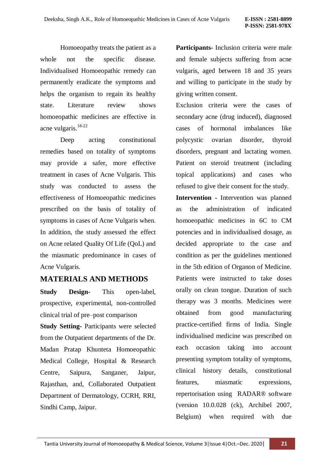Homoeopathy treats the patient as a whole not the specific disease. Individualised Homoeopathic remedy can permanently eradicate the symptoms and helps the organism to regain its healthy state. Literature review shows homoeopathic medicines are effective in acne vulgaris.18-22

Deep acting constitutional remedies based on totality of symptoms may provide a safer, more effective treatment in cases of Acne Vulgaris. This study was conducted to assess the effectiveness of Homoeopathic medicines prescribed on the basis of totality of symptoms in cases of Acne Vulgaris when. In addition, the study assessed the effect on Acne related Quality Of Life (QoL) and the miasmatic predominance in cases of Acne Vulgaris.

# **MATERIALS AND METHODS**

**Study Design-** This open-label, prospective, experimental, non-controlled clinical trial of pre–post comparison

**Study Setting-** Participants were selected from the Outpatient departments of the Dr. Madan Pratap Khunteta Homoeopathic Medical College, Hospital & Research Centre, Saipura, Sanganer, Jaipur, Rajasthan, and, Collaborated Outpatient Department of Dermatology, CCRH, RRI, Sindhi Camp, Jaipur.

**Participants-** Inclusion criteria were male and female subjects suffering from acne vulgaris, aged between 18 and 35 years and willing to participate in the study by giving written consent.

Exclusion criteria were the cases of secondary acne (drug induced), diagnosed cases of hormonal imbalances like polycystic ovarian disorder, thyroid disorders, pregnant and lactating women. Patient on steroid treatment (including topical applications) and cases who refused to give their consent for the study.

**Intervention -** Intervention was planned as the administration of indicated homoeopathic medicines in 6C to CM potencies and in individualised dosage, as decided appropriate to the case and condition as per the guidelines mentioned in the 5th edition of Organon of Medicine. Patients were instructed to take doses orally on clean tongue. Duration of such therapy was 3 months. Medicines were obtained from good manufacturing practice-certified firms of India. Single individualised medicine was prescribed on each occasion taking into account presenting symptom totality of symptoms, clinical history details, constitutional features, miasmatic expressions, repertorisation using RADAR® software (version 10.0.028 (ck), Archibel 2007, Belgium) when required with due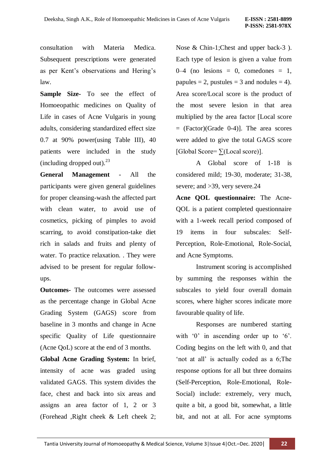consultation with Materia Medica. Subsequent prescriptions were generated as per Kent"s observations and Hering"s law.

**Sample Size-** To see the effect of Homoeopathic medicines on Quality of Life in cases of Acne Vulgaris in young adults, considering standardized effect size 0.7 at 90% power(using Table III), 40 patients were included in the study (including dropped out). $^{23}$ 

**General Management** - All the participants were given general guidelines for proper cleansing-wash the affected part with clean water, to avoid use of cosmetics, picking of pimples to avoid scarring, to avoid constipation-take diet rich in salads and fruits and plenty of water. To practice relaxation. . They were advised to be present for regular followups.

**Outcomes-** The outcomes were assessed as the percentage change in Global Acne Grading System (GAGS) score from baseline in 3 months and change in Acne specific Quality of Life questionnaire (Acne QoL) score at the end of 3 months.

**Global Acne Grading System:** In brief, intensity of acne was graded using validated GAGS. This system divides the face, chest and back into six areas and assigns an area factor of 1, 2 or 3 (Forehead ,Right cheek & Left cheek 2; Nose & Chin-1;Chest and upper back-3 ). Each type of lesion is given a value from  $0-4$  (no lesions = 0, comedones = 1, papules = 2, pustules = 3 and nodules = 4). Area score/Local score is the product of the most severe lesion in that area multiplied by the area factor [Local score  $=$  (Factor)(Grade 0-4)]. The area scores were added to give the total GAGS score [Global Score= $\sum$ (Local score)].

A Global score of 1-18 is considered mild; 19-30, moderate; 31-38, severe; and >39, very severe.24

**Acne QOL questionnaire:** The Acne-QOL is a patient completed questionnaire with a 1-week recall period composed of 19 items in four subscales: Self-Perception, Role-Emotional, Role-Social, and Acne Symptoms.

Instrument scoring is accomplished by summing the responses within the subscales to yield four overall domain scores, where higher scores indicate more favourable quality of life.

Responses are numbered starting with  $\theta$  in ascending order up to  $\theta$ . Coding begins on the left with 0, and that 'not at all' is actually coded as a 6; The response options for all but three domains (Self-Perception, Role-Emotional, Role-Social) include: extremely, very much, quite a bit, a good bit, somewhat, a little bit, and not at all. For acne symptoms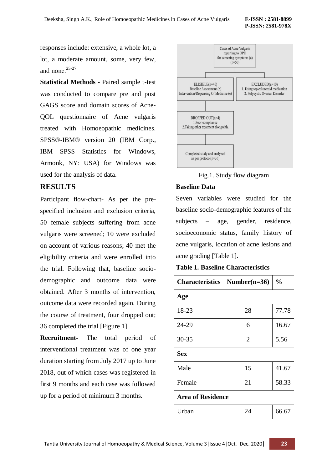responses include: extensive, a whole lot, a lot, a moderate amount, some, very few, and none.25-27

**Statistical Methods -** Paired sample t-test was conducted to compare pre and post GAGS score and domain scores of Acne-QOL questionnaire of Acne vulgaris treated with Homoeopathic medicines. SPSS®-IBM® version 20 (IBM Corp., IBM SPSS Statistics for Windows, Armonk, NY: USA) for Windows was used for the analysis of data.

## **RESULTS**

Participant flow-chart- As per the prespecified inclusion and exclusion criteria, 50 female subjects suffering from acne vulgaris were screened; 10 were excluded on account of various reasons; 40 met the eligibility criteria and were enrolled into the trial. Following that, baseline sociodemographic and outcome data were obtained. After 3 months of intervention, outcome data were recorded again. During the course of treatment, four dropped out; 36 completed the trial [Figure 1].

**Recruitment-** The total period of interventional treatment was of one year duration starting from July 2017 up to June 2018, out of which cases was registered in first 9 months and each case was followed up for a period of minimum 3 months.



Fig.1. Study flow diagram

#### **Baseline Data**

Seven variables were studied for the baseline socio-demographic features of the subjects – age, gender, residence, socioeconomic status, family history of acne vulgaris, location of acne lesions and acne grading [Table 1].

**Table 1. Baseline Characteristics**

| <b>Characteristics</b>   | Number( $n=36$ ) | $\frac{0}{0}$ |
|--------------------------|------------------|---------------|
| Age                      |                  |               |
| 18-23                    | 28               | 77.78         |
| 24-29                    | 6                | 16.67         |
| $30 - 35$                | 2                | 5.56          |
| <b>Sex</b>               |                  |               |
| Male                     | 15               | 41.67         |
| Female                   | 21               | 58.33         |
| <b>Area of Residence</b> |                  |               |
| Urban                    | 24               | 66.67         |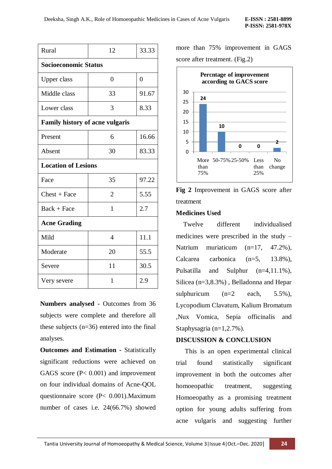| Rural                                  | 12             | 33.33          |  |
|----------------------------------------|----------------|----------------|--|
| <b>Socioeconomic Status</b>            |                |                |  |
| Upper class                            | $\theta$       | $\overline{0}$ |  |
| Middle class                           | 33             | 91.67          |  |
| Lower class                            | 3              | 8.33           |  |
| <b>Family history of acne vulgaris</b> |                |                |  |
| Present                                | 6              | 16.66          |  |
| Absent                                 | 30             | 83.33          |  |
| <b>Location of Lesions</b>             |                |                |  |
| Face                                   | 35             | 97.22          |  |
| $Check + Face$                         | $\overline{2}$ | 5.55           |  |
| $Back + Face$                          | 1              | 2.7            |  |
| <b>Acne Grading</b>                    |                |                |  |
| Mild                                   | $\overline{4}$ | 11.1           |  |
| Moderate                               | 20             | 55.5           |  |
| Severe                                 | 11             | 30.5           |  |
| Very severe                            | 1              | 2.9            |  |

**Numbers analysed -** Outcomes from 36 subjects were complete and therefore all these subjects (n=36) entered into the final analyses.

**Outcomes and Estimation -** Statistically significant reductions were achieved on GAGS score ( $P < 0.001$ ) and improvement on four individual domains of Acne-QOL questionnaire score (P< 0.001).Maximum number of cases i.e. 24(66.7%) showed

more than 75% improvement in GAGS score after treatment. (Fig.2)



**Fig 2** Improvement in GAGS score after treatment

#### **Medicines Used**

 Twelve different individualised medicines were prescribed in the study – Natrium muriaticum (n=17, 47.2%), Calcarea carbonica (n=5, 13.8%), Pulsatilla and Sulphur (n=4,11.1%), Silicea (n=3,8.3%) , Belladonna and Hepar sulphuricum  $(n=2 \text{ each}, 5.5\%),$ Lycopodium Clavatum, Kalium Bromatum ,Nux Vomica, Sepia officinalis and Staphysagria (n=1,2.7%).

#### **DISCUSSION & CONCLUSION**

 This is an open experimental clinical trial found statistically significant improvement in both the outcomes after homoeopathic treatment, suggesting Homoeopathy as a promising treatment option for young adults suffering from acne vulgaris and suggesting further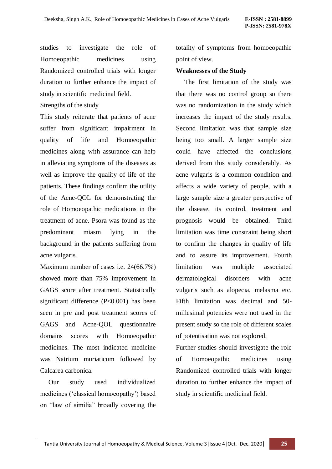studies to investigate the role of Homoeopathic medicines using Randomized controlled trials with longer duration to further enhance the impact of study in scientific medicinal field.

Strengths of the study

This study reiterate that patients of acne suffer from significant impairment in quality of life and Homoeopathic medicines along with assurance can help in alleviating symptoms of the diseases as well as improve the quality of life of the patients. These findings confirm the utility of the Acne-QOL for demonstrating the role of Homoeopathic medications in the treatment of acne. Psora was found as the predominant miasm lying in the background in the patients suffering from acne vulgaris.

Maximum number of cases i.e. 24(66.7%) showed more than 75% improvement in GAGS score after treatment. Statistically significant difference (P<0.001) has been seen in pre and post treatment scores of GAGS and Acne-QOL questionnaire domains scores with Homoeopathic medicines. The most indicated medicine was Natrium muriaticum followed by Calcarea carbonica.

 Our study used individualized medicines ("classical homoeopathy") based on "law of similia" broadly covering the

totality of symptoms from homoeopathic point of view.

#### **Weaknesses of the Study**

 The first limitation of the study was that there was no control group so there was no randomization in the study which increases the impact of the study results. Second limitation was that sample size being too small. A larger sample size could have affected the conclusions derived from this study considerably. As acne vulgaris is a common condition and affects a wide variety of people, with a large sample size a greater perspective of the disease, its control, treatment and prognosis would be obtained. Third limitation was time constraint being short to confirm the changes in quality of life and to assure its improvement. Fourth limitation was multiple associated dermatological disorders with acne vulgaris such as alopecia, melasma etc. Fifth limitation was decimal and 50 millesimal potencies were not used in the present study so the role of different scales of potentisation was not explored.

Further studies should investigate the role of Homoeopathic medicines using Randomized controlled trials with longer duration to further enhance the impact of study in scientific medicinal field.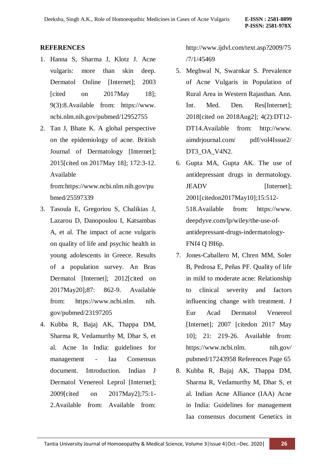# **REFERENCES**

- 1. Hanna S, Sharma J, Klotz J. Acne vulgaris: more than skin deep. Dermatol Online [Internet]; 2003 [cited on 2017May 18]; 9(3):8.Available from: https://www. ncbi.nlm.nih.gov/pubmed/12952755
- 2. Tan J, Bhate K. A global perspective on the epidemiology of acne. British Journal of Dermatology [Internet]; 2015[cited on 2017May 18]; 172:3-12. Available

from:https://www.ncbi.nlm.nih.gov/pu bmed/25597339

- 3. Tasoula E, Gregoriou S, Chalikias J, Lazarou D, Danopoulou I, Katsambas A, et al. The impact of acne vulgaris on quality of life and psychic health in young adolescents in Greece. Results of a population survey. An Bras Dermatol [Internet]; 2012[cited on 2017May20];87: 862-9. Available from: https://www.ncbi.nlm. nih. gov/pubmed/23197205
- 4. Kubba R, Bajaj AK, Thappa DM, Sharma R, Vedamurthy M, Dhar S, et al. Acne In India: guidelines for management - Iaa Consensus document. Introduction. Indian J Dermatol Venereol Leprol [Internet]; 2009[cited on 2017May2];75:1- 2.Available from: Available from:

http://www.ijdvl.com/text.asp?2009/75 /7/1/45469

- 5. Meghwal N, Swarnkar S. Prevalence of Acne Vulgaris in Population of Rural Area in Western Rajasthan. Ann. Int. Med. Den. Res[Internet]; 2018[cited on 2018Aug2]; 4(2):DT12- DT14.Available from: http://www. aimdrjournal.com/ pdf/vol4Issue2/ DT3\_OA\_V4N2.
- 6. Gupta MA, Gupta AK. The use of antidepressant drugs in dermatology. JEADV [Internet]; 2001[citedon2017May10];15:512- 518.Available from: https://www. deepdyve.com/lp/wiley/the-use-ofantidepressant-drugs-indermatology-FNf4 Q l9I6p.
- 7. Jones-Caballero M, Chren MM, Soler B, Pedrosa E, Peñas PF. Quality of life in mild to moderate acne: Relationship to clinical severity and factors influencing change with treatment. J Eur Acad Dermatol Venereol [Internet]; 2007 [citedon 2017 May 10]; 21: 219-26. Available from: https://www.ncbi.nlm. nih.gov/ pubmed/17243958 References Page 65
- 8. Kubba R, Bajaj AK, Thappa DM, Sharma R, Vedamurthy M, Dhar S, et al. Indian Acne Alliance (IAA) Acne in India: Guidelines for management Iaa consensus document Genetics in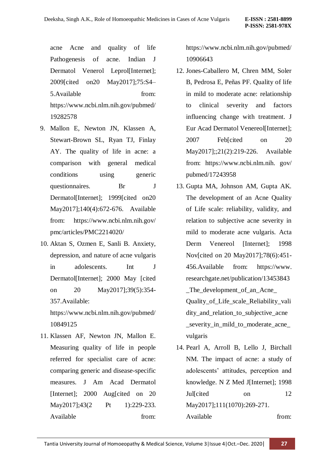acne Acne and quality of life Pathogenesis of acne. Indian J Dermatol Venerol Leprol[Internet]; 2009[cited on20 May2017];75:S4– 5.Available from: https://www.ncbi.nlm.nih.gov/pubmed/ 19282578

- 9. Mallon E, Newton JN, Klassen A, Stewart-Brown SL, Ryan TJ, Finlay AY. The quality of life in acne: a comparison with general medical conditions using generic questionnaires. Br J Dermatol[Internet]; 1999[cited on20 May2017];140(4):672-676. Available from: https://www.ncbi.nlm.nih.gov/ pmc/articles/PMC2214020/
- 10. Aktan S, Ozmen E, Sanli B. Anxiety, depression, and nature of acne vulgaris in adolescents. Int J Dermatol[Internet]; 2000 May [cited on 20 May2017];39(5):354- 357.Available: https://www.ncbi.nlm.nih.gov/pubmed/
	- 10849125
- 11. Klassen AF, Newton JN, Mallon E. Measuring quality of life in people referred for specialist care of acne: comparing generic and disease-specific measures. J Am Acad Dermatol [Internet]; 2000 Aug[cited on 20 May2017];43(2 Pt 1):229-233. Available from:

https://www.ncbi.nlm.nih.gov/pubmed/ 10906643

- 12. Jones-Caballero M, Chren MM, Soler B, Pedrosa E, Peñas PF. Quality of life in mild to moderate acne: relationship to clinical severity and factors influencing change with treatment. J Eur Acad Dermatol Venereol[Internet]; 2007 Feb[cited on 20 May2017];;21(2):219-226. Available from: https://www.ncbi.nlm.nih. gov/ pubmed/17243958
- 13. Gupta MA, Johnson AM, Gupta AK. The development of an Acne Quality of Life scale: reliability, validity, and relation to subjective acne severity in mild to moderate acne vulgaris. Acta Derm Venereol [Internet]; 1998 Nov[cited on 20 May2017];78(6):451- 456.Available from: https://www. researchgate.net/publication/13453843 \_The\_development\_of\_an\_Acne\_ Quality\_of\_Life\_scale\_Reliability\_vali dity\_and\_relation\_to\_subjective\_acne \_severity\_in\_mild\_to\_moderate\_acne\_ vulgaris
- 14. Pearl A, Arroll B, Lello J, Birchall NM. The impact of acne: a study of adolescents" attitudes, perception and knowledge. N Z Med J[Internet]: 1998 Jul[cited on 12 May2017];111(1070):269-271. Available from: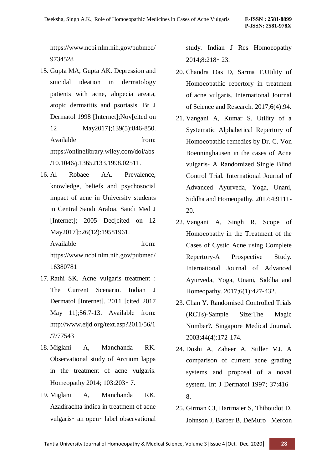https://www.ncbi.nlm.nih.gov/pubmed/ 9734528

- 15. Gupta MA, Gupta AK. Depression and suicidal ideation in dermatology patients with acne, alopecia areata, atopic dermatitis and psoriasis. Br J Dermatol 1998 [Internet];Nov[cited on 12 May2017];139(5):846-850. Available from: https://onlinelibrary.wiley.com/doi/abs /10.1046/j.13652133.1998.02511.
- 16. Al Robaee AA. Prevalence, knowledge, beliefs and psychosocial impact of acne in University students in Central Saudi Arabia. Saudi Med J [Internet]; 2005 Dec[cited on 12 May2017];;26(12):19581961.

Available from: https://www.ncbi.nlm.nih.gov/pubmed/ 16380781

- 17. Rathi SK. Acne vulgaris treatment : The Current Scenario. Indian J Dermatol [Internet]. 2011 [cited 2017 May 11];56:7-13. Available from: http://www.eijd.org/text.asp?2011/56/1 /7/77543
- 18. Miglani A, Manchanda RK. Observational study of Arctium lappa in the treatment of acne vulgaris. Homeopathy 2014; 103:203‑ 7.
- 19. Miglani A, Manchanda RK. Azadirachta indica in treatment of acne vulgaris‑ an open‑ label observational

study. Indian J Res Homoeopathy 2014;8:218‑ 23.

- 20. Chandra Das D, Sarma T.Utility of Homoeopathic repertory in treatment of acne vulgaris. International Journal of Science and Research. 2017;6(4):94.
- 21. Vangani A, Kumar S. Utility of a Systematic Alphabetical Repertory of Homoeopathic remedies by Dr. C. Von Boenninghausen in the cases of Acne vulgaris- A Randomized Single Blind Control Trial. International Journal of Advanced Ayurveda, Yoga, Unani, Siddha and Homeopathy. 2017;4:9111- 20.
- 22. Vangani A, Singh R. Scope of Homoeopathy in the Treatment of the Cases of Cystic Acne using Complete Repertory-A Prospective Study. International Journal of Advanced Ayurveda, Yoga, Unani, Siddha and Homeopathy. 2017;6(1):427-432.
- 23. Chan Y. Randomised Controlled Trials (RCTs)-Sample Size:The Magic Number?. Singapore Medical Journal. 2003;44(4):172-174.
- 24. Doshi A, Zaheer A, Stiller MJ. A comparison of current acne grading systems and proposal of a noval system. Int J Dermatol 1997; 37:416‑ 8.
- 25. Girman CJ, Hartmaier S, Thiboudot D, Johnson J, Barber B, DeMuro‑ Mercon